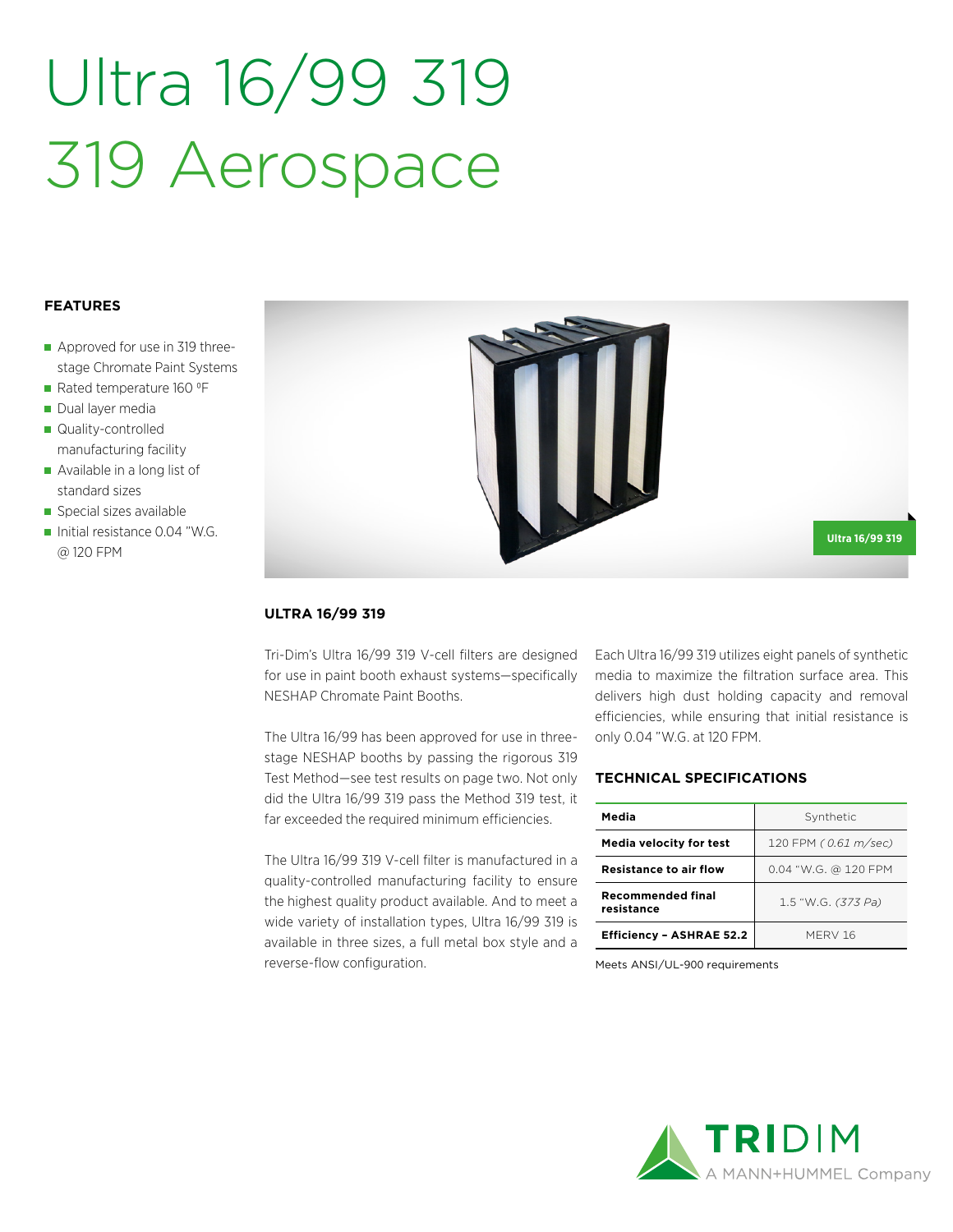# Ultra 16/99 319 319 Aerospace

## **FEATURES**

- Approved for use in 319 threestage Chromate Paint Systems
- Rated temperature 160 °F
- Dual layer media
- Quality-controlled manufacturing facility
- Available in a long list of standard sizes
- Special sizes available
- Initial resistance 0.04 "W.G. @ 120 FPM



## **ULTRA 16/99 319**

Tri-Dim's Ultra 16/99 319 V-cell filters are designed for use in paint booth exhaust systems—specifically NESHAP Chromate Paint Booths.

The Ultra 16/99 has been approved for use in threestage NESHAP booths by passing the rigorous 319 Test Method—see test results on page two. Not only did the Ultra 16/99 319 pass the Method 319 test, it far exceeded the required minimum efficiencies.

The Ultra 16/99 319 V-cell filter is manufactured in a quality-controlled manufacturing facility to ensure the highest quality product available. And to meet a wide variety of installation types, Ultra 16/99 319 is available in three sizes, a full metal box style and a reverse-flow configuration.

Each Ultra 16/99 319 utilizes eight panels of synthetic media to maximize the filtration surface area. This delivers high dust holding capacity and removal efficiencies, while ensuring that initial resistance is only 0.04 "W.G. at 120 FPM.

## **TECHNICAL SPECIFICATIONS**

| Media                                  | Synthetic            |  |  |
|----------------------------------------|----------------------|--|--|
| <b>Media velocity for test</b>         | 120 FPM (0.61 m/sec) |  |  |
| <b>Resistance to air flow</b>          | 0.04 "W.G. @ 120 FPM |  |  |
| <b>Recommended final</b><br>resistance | 1.5 "W.G. (373 Pa)   |  |  |
| <b>Efficiency - ASHRAE 52.2</b>        | MFRV 16              |  |  |

Meets ANSI/UL-900 requirements